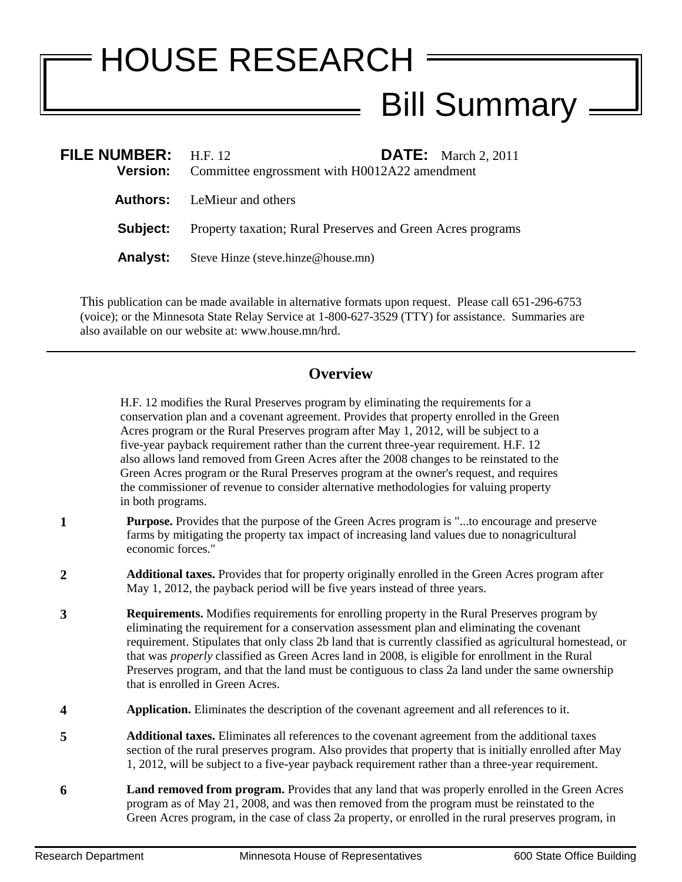## HOUSE RESEARCH Bill Summary =

| <b>FILE NUMBER:</b> H.F. 12<br><b>Version:</b> | <b>DATE:</b> March 2, 2011<br>Committee engrossment with H0012A22 amendment |
|------------------------------------------------|-----------------------------------------------------------------------------|
|                                                | <b>Authors:</b> LeMieur and others                                          |
| Subject:                                       | Property taxation; Rural Preserves and Green Acres programs                 |
| <b>Analyst:</b>                                | Steve Hinze (steve.hinze@house.mn)                                          |

This publication can be made available in alternative formats upon request. Please call 651-296-6753 (voice); or the Minnesota State Relay Service at 1-800-627-3529 (TTY) for assistance. Summaries are also available on our website at: www.house.mn/hrd.

## **Overview**

H.F. 12 modifies the Rural Preserves program by eliminating the requirements for a conservation plan and a covenant agreement. Provides that property enrolled in the Green Acres program or the Rural Preserves program after May 1, 2012, will be subject to a five-year payback requirement rather than the current three-year requirement. H.F. 12 also allows land removed from Green Acres after the 2008 changes to be reinstated to the Green Acres program or the Rural Preserves program at the owner's request, and requires the commissioner of revenue to consider alternative methodologies for valuing property in both programs.

- **1 Purpose.** Provides that the purpose of the Green Acres program is "...to encourage and preserve farms by mitigating the property tax impact of increasing land values due to nonagricultural economic forces."
- **2 Additional taxes.** Provides that for property originally enrolled in the Green Acres program after May 1, 2012, the payback period will be five years instead of three years.
- **3 Requirements.** Modifies requirements for enrolling property in the Rural Preserves program by eliminating the requirement for a conservation assessment plan and eliminating the covenant requirement. Stipulates that only class 2b land that is currently classified as agricultural homestead, or that was *properly* classified as Green Acres land in 2008, is eligible for enrollment in the Rural Preserves program, and that the land must be contiguous to class 2a land under the same ownership that is enrolled in Green Acres.
- **4 Application.** Eliminates the description of the covenant agreement and all references to it.
- **5 Additional taxes.** Eliminates all references to the covenant agreement from the additional taxes section of the rural preserves program. Also provides that property that is initially enrolled after May 1, 2012, will be subject to a five-year payback requirement rather than a three-year requirement.
- **6 Land removed from program.** Provides that any land that was properly enrolled in the Green Acres program as of May 21, 2008, and was then removed from the program must be reinstated to the Green Acres program, in the case of class 2a property, or enrolled in the rural preserves program, in